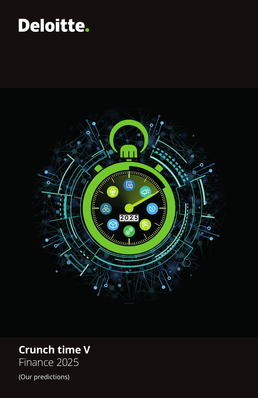# Deloitte.



# **Crunch time V**

Finance 2025

(Our predictions)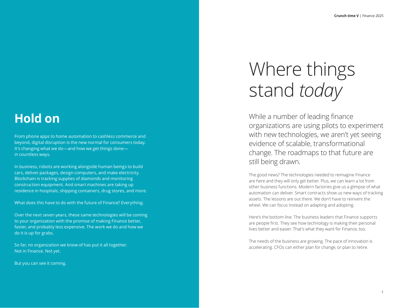# **Hold on**

From phone apps to home automation to cashless commerce and beyond, digital disruption is the new normal for consumers today. It's changing what we do—and how we get things done in countless ways.

In business, robots are working alongside human beings to build cars, deliver packages, design computers, and make electricity. Blockchain is tracking supplies of diamonds and monitoring construction equipment. And smart machines are taking up residence in hospitals, shipping containers, drug stores, and more.

What does this have to do with the future of Finance? Everything.

Over the next seven years, these same technologies will be coming to your organization with the promise of making Finance better, faster, and probably less expensive. The work we do and how we do it is up for grabs.

So far, no organization we know of has put it all together. Not in Finance. Not yet.

But you can see it coming.

# Where things stand *today*

While a number of leading finance organizations are using pilots to experiment with new technologies, we aren't yet seeing evidence of scalable, transformational change. The roadmaps to that future are still being drawn.

The good news? The technologies needed to reimagine Finance are here and they will only get better. Plus, we can learn a lot from other business functions. Modern factories give us a glimpse of what automation can deliver. Smart contracts show us new ways of tracking assets. The lessons are out there. We don't have to reinvent the wheel. We can focus instead on adapting and adopting.

Here's the bottom line. The business leaders that Finance supports are people first. They see how technology is making their personal lives better and easier. That's what they want for Finance, too.

The needs of the business are growing. The pace of innovation is accelerating. CFOs can either plan for change, or plan to retire.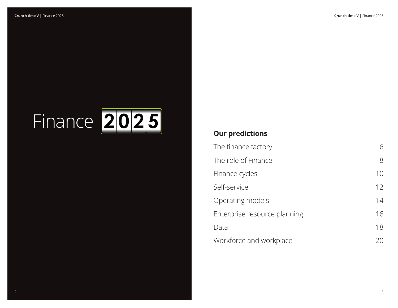# Finance **2 0 2 5**

## **Our predictions**

| The finance factory          | 6  |
|------------------------------|----|
| The role of Finance          | 8  |
| Finance cycles               | 10 |
| Self-service                 | 12 |
| Operating models             | 14 |
| Enterprise resource planning | 16 |
| Data                         | 18 |
| Workforce and workplace      | 20 |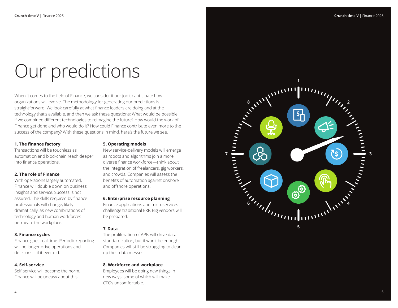# Our predictions

When it comes to the field of Finance, we consider it our job to anticipate how organizations will evolve. The methodology for generating our predictions is straightforward. We look carefully at what finance leaders are doing and at the technology that's available, and then we ask these questions: What would be possible if we combined different technologies to reimagine the future? How would the work of Finance get done and who would do it? How could Finance contribute even more to the success of the company? With these questions in mind, here's the future we see.

#### **1. The finance factory**

Transactions will be touchless as automation and blockchain reach deeper into finance operations.

#### **2. The role of Finance**

With operations largely automated, Finance will double down on business insights and service. Success is not assured. The skills required by finance professionals will change, likely dramatically, as new combinations of technology and human workforces permeate the workplace.

#### **3. Finance cycles**

Finance goes real time. Periodic reporting will no longer drive operations and decisions—if it ever did.

#### **4. Self-service**

Self-service will become the norm. Finance will be uneasy about this.

#### **5. Operating models**

New service-delivery models will emerge as robots and algorithms join a more diverse finance workforce—think about the integration of freelancers, gig workers, and crowds. Companies will assess the benefits of automation against onshore and offshore operations.

#### **6. Enterprise resource planning**

Finance applications and microservices challenge traditional ERP. Big vendors will be prepared.

#### **7. Data**

The proliferation of APIs will drive data standardization, but it won't be enough. Companies will still be struggling to clean up their data messes.

#### **8. Workforce and workplace**

Employees will be doing new things in new ways, some of which will make CFOs uncomfortable.

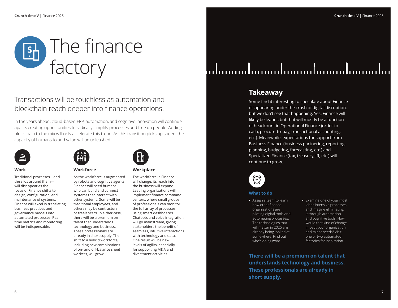

### Transactions will be touchless as automation and blockchain reach deeper into finance operations.

In the years ahead, cloud-based ERP, automation, and cognitive innovation will continue apace, creating opportunities to radically simplify processes and free up people. Adding blockchain to the mix will only accelerate this trend. As this transition picks up speed, the capacity of humans to add value will be unleashed.



#### **Work**

Traditional processes—and the silos around them will disappear as the focus of Finance shifts to design, configuration, and maintenance of systems. Finance will excel in translating business practices and governance models into automated processes. Realtime metrics and monitoring will be indispensable.

| Wilill    |  |
|-----------|--|
| Workforce |  |

As the workforce is augmented by robots and cognitive agents, Finance will need humans who can build and connect systems that interact with other systems. Some will be traditional employees, and others may be contractors or freelancers. In either case, there will be a premium on talent that understands technology and business. These professionals are already in short supply. The shift to a hybrid workforce, including new combinations of on- and off-balance sheet workers, will grow.

#### **Workplace**

The workforce in Finance will change; its reach into the business will expand. Leading organizations will implement finance command centers, where small groups of professionals can monitor the full array of processes using smart dashboards. Chatbots and voice integration will go mainstream, giving stakeholders the benefit of seamless, intuitive interactions with technology and data. One result will be new levels of agility, especially for supporting M&A and divestment activities.

# ialanandanandanandanandananda

### **Takeaway**

Some find it interesting to speculate about Finance disappearing under the crush of digital disruption, but we don't see that happening. Yes, Finance will likely be leaner, but that will mostly be a function of headcount in Operational Finance (order-tocash, procure-to-pay, transactional accounting, etc.). Meanwhile, expectations for support from Business Finance (business partnering, reporting, planning, budgeting, forecasting, etc.) and Specialized Finance (tax, treasury, IR, etc.) will continue to grow.



#### **What to do**

- **•** Assign a team to learn how other finance organizations are piloting digital tools and automating processes. The technologies that will matter in 2025 are already being looked at somewhere. Find out who's doing what.
- **•** Examine one of your most labor-intensive processes and imagine eliminating it through automation and cognitive tools. How would that kind of change impact your organization and talent needs? Visit one or two automated factories for inspiration.

**There will be a premium on talent that understands technology and business. These professionals are already in short supply.**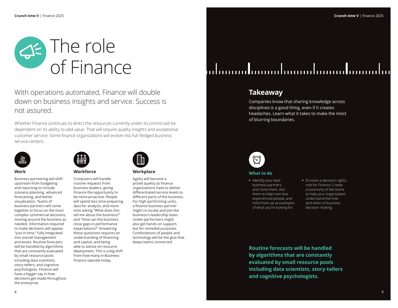

With operations automated, Finance will double down on business insights and service. Success is not assured.

Whether Finance continues to direct the resources currently under its control will be dependent on its ability to add value. That will require quality insights and exceptional customer service. Some finance organizations will evolve into full-fledged business service centers.



#### **Work**

Business partnering will shift upstream from budgeting and reporting to include scenario planning, advanced forecasting, and better visualization. Teams of business partners will come together to focus on the most complex commercial decisions, moving around the business as needed. Information required to make decisions will appear "just in time," fully integrated into overall management processes. Routine forecasts will be handled by algorithms that are constantly evaluated by small resource pools including data scientists, story-tellers, and cognitive psychologists. Finance will have a bigger say in how decisions get made throughout the enterprise.



#### Computers will handle routine requests from business leaders, giving Finance the opportunity to be more proactive. People will spend less time preparing data for analysis, and more time asking "What does this tell me about the business?" and "How can the business close gaps in performance expectations?" Answering these questions requires an understanding of financing and capital, and being able to advise on resource deployment. This is a big shift from how many in Business Finance operate today.



**Workplace** 

Agility will become a prized quality as finance organizations have to deliver differentiated service levels to different parts of the business. For high-performing units, a finance business partner might co-locate and join the business's leadership team. Under-performers might also get hands-on support, but for remedial purposes. Combinations of people and technology will be the glue that keeps teams connected.

# ialanandanandanandanandananda

### **Takeaway**

Companies know that sharing knowledge across disciplines is a good thing, even if it creates headaches. Learn what it takes to make the most of blurring boundaries.



#### **What to do**

- **•** Identify your best business partners and clone them. Ask them to help train less experienced people, and hold them up as examples of what you're looking for.
- **•** Envision a decision-rights role for Finance. Create a taxonomy of decisions to help your organization understand the how and when of business decision-making.

**Routine forecasts will be handled by algorithms that are constantly evaluated by small resource pools including data scientists, story-tellers and cognitive psychologists.**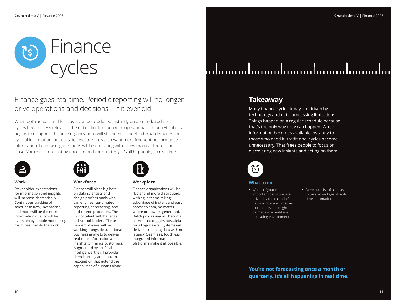

Finance goes real time. Periodic reporting will no longer drive operations and decisions—if it ever did.

When both actuals and forecasts can be produced instantly on demand, traditional cycles become less relevant. The old distinction between operational and analytical data begins to disappear. Finance organizations will still need to meet external demands for cyclical information, but outside investors may also want more frequent performance information. Leading organizations will be operating with a new mantra: There is no close. You're not forecasting once a month or quarterly. It's all happening in real time.



#### **Work**

Stakeholder expectations for information and insights will increase dramatically. Continuous tracking of sales, cash flow, inventories, and more will be the norm. Information quality will be overseen by people monitoring machines that do the work.



#### **Workforce**

Finance will place big bets on data scientists and design professionals who can engineer automated reporting, forecasting, and end-to-end processes. The mix of talent will challenge old-school leaders. These new employees will be working alongside traditional business analysts to deliver real-time information and insights to finance customers. Augmented by artificial intelligence, they'll provide deep learning and pattern recognition that extend the capabilities of humans alone.



#### **Workplace**

Finance organizations will be flatter and more distributed, with agile teams taking advantage of instant and easy access to data, no matter where or how it's generated. Batch processing will become a term that triggers nostalgia for a bygone era. Systems will deliver streaming data with no latency. Seamless, touchless, integrated information platforms make it all possible.

# <u>lahanaadamaalamaalamaadamaala</u>

### **Takeaway**

Many finance cycles today are driven by technology and data-processing limitations. Things happen on a regular schedule because that's the only way they can happen. When information becomes available instantly to those who need it, traditional cycles become unnecessary. That frees people to focus on discovering new insights and acting on them.



#### **What to do**

- **•** Which of your most important decisions are driven by the calendar? Rethink how and whether those decisions might be made in a real-time operating environment.
- **•** Develop a list of use cases to take advantage of realtime automation.

**You're not forecasting once a month or quarterly. It's all happening in real time.**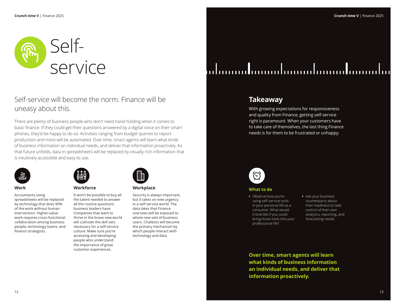

### Self-service will become the norm. Finance will be uneasy about this.

There are plenty of business people who don't need hand-holding when it comes to basic finance. If they could get their questions answered by a digital voice on their smart phones, they'd be happy to do so. Activities ranging from budget queries to report production and more will be automated. Over time, smart agents will learn what kinds of business information an individual needs, and deliver that information proactively. As that future unfolds, data in spreadsheets will be replaced by visually rich information that is intuitively accessible and easy to use.



#### **Work**

Accountants using spreadsheets will be replaced by technology that does 90% of the work without human intervention. Higher-value work requires cross-functional collaboration among business people, technology teams, and finance strategists.



#### **Workforce**

It won't be possible to buy all the talent needed to answer all the routine questions business leaders have. Companies that want to thrive in the brave new world will cultivate the skill sets necessary for a self-service culture. Make sure you're accessing and developing people who understand the importance of great customer experiences.

| ×<br>Ħ | ľ |  |
|--------|---|--|
|        |   |  |

#### **Workplace**

Security is always important, but it takes on new urgency in a self-service world. The data lakes that Finance oversees will be exposed to whole new sets of business users. Chatbots will become the primary mechanism by which people interact with technology and data.

# ialanandanandanandanandananda

### **Takeaway**

With growing expectations for responsiveness and quality from Finance, getting self-service right is paramount. When your customers have to take care of themselves, the last thing Finance needs is for them to be frustrated or unhappy.



#### **What to do**

- **•** Observe how you're using self-service tools in your personal life as a consumer. What would it look like if you could bring those tools into your professional life?
- **•** Ask your business counterparts about their readiness to take control of their own analytics, reporting, and forecasting needs.

**Over time, smart agents will learn what kinds of business information an individual needs, and deliver that information proactively.**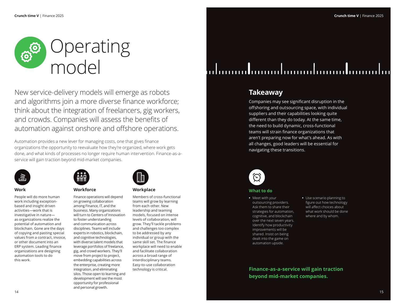

New service-delivery models will emerge as robots and algorithms join a more diverse finance workforce; think about the integration of freelancers, gig workers, and crowds. Companies will assess the benefits of automation against onshore and offshore operations.

Automation provides a new lever for managing costs, one that gives finance organizations the opportunity to reevaluate how they're organized, where work gets done, and what kinds of processes no longer require human intervention. Finance-as-aservice will gain traction beyond mid-market companies.



#### **Work**

People will do more human work including exceptionbased and insight driven activities—work that is investigative in nature as organizations realize the potential of automation and blockchain. Gone are the days of copying and pasting special values from a contract, invoice, or other document into an ERP system. Leading finance organizations are designing automation tools to do this work.



#### **Workforce**

Finance operations will depend on growing collaboration among Finance, IT, and the business. Many organizations will turn to Centers of Innovation to foster understanding and communication across disciplines. Teams will include experts in robotics, blockchain, and cognitive technologies, with diverse talent models that leverage portfolios of freelance, gig, and crowd workers. They'll move from project to project, embedding capabilities across the enterprise, creating more integration, and eliminating silos. Those open to learning and development will see the most opportunity for professional and personal growth.

| 關 |  |
|---|--|
|   |  |
|   |  |

#### **Workplace**

Members of cross-functional teams will grow by learning from each other. New leadership and teaming models, focused on intense levels of collaboration, will grow. They'll tackle problems and challenges too complex to be addressed by any individual or group with the same skill set. The finance workplace will need to enable and facilitate collaboration across a broad range of interdisciplinary teams. Easy-to-use collaboration technology is critical.

# lahanandanandanandanandananda

### **Takeaway**

Companies may see significant disruption in the offshoring and outsourcing space, with individual suppliers and their capabilities looking quite different than they do today. At the same time, the need to build dynamic, cross-functional teams will strain finance organizations that aren't preparing now for what's ahead. As with all changes, good leaders will be essential for navigating these transitions.



#### **What to do**

- **•** Meet with your outsourcing providers. Ask them to share their strategies for automation, cognitive, and blockchain over the next seven years. Identify how productivity improvements will be shared. Insist on being dealt into the game on automation upside.
- **•** Use scenario planning to figure out how technology will affect choices about what work should be done where and by whom.

**Finance-as-a-service will gain traction beyond mid-market companies.**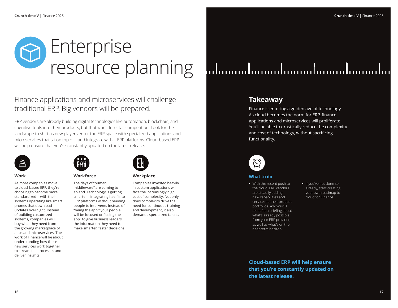

Finance applications and microservices will challenge traditional ERP. Big vendors will be prepared.

ERP vendors are already building digital technologies like automation, blockchain, and cognitive tools into their products, but that won't forestall competition. Look for the landscape to shift as new players enter the ERP space with specialized applications and microservices that sit on top of—and integrate with—ERP platforms. Cloud-based ERP will help ensure that you're constantly updated on the latest release.



#### **Work**

As more companies move to cloud-based ERP, they're choosing to become more standardized—with their systems operating like smart phones that download updates overnight. Instead of building customized systems, companies will buy what they need from the growing marketplace of apps and microservices. The work of Finance will be about understanding how these new services work together to streamline processes and deliver insights.



#### **Workforce**

The days of "human middleware" are coming to an end. Technology is getting smarter—integrating itself into ERP platforms without needing people to intervene. Instead of "being the app," your people will be focused on "using the app" to give business leaders the information they need to make smarter, faster decisions.

| È |  |
|---|--|
| ۰ |  |
|   |  |
|   |  |

#### **Workplace**

Companies invested heavily in custom applications will face the increasingly high cost of complexity. Not only does complexity drive the need for continuous training and development, it also demands specialized talent.

# ialannadananahanandanandananaha

### **Takeaway**

Finance is entering a golden age of technology. As cloud becomes the norm for ERP, finance applications and microservices will proliferate. You'll be able to drastically reduce the complexity and cost of technology, without sacrificing functionality.



#### **What to do**

- **•** With the recent push to the cloud, ERP vendors are steadily adding new capabilities and services to their product portfolios. Ask your IT team for a briefing about what's already possible from your ERP provider, as well as what's on the near-term horizon.
- **•** If you've not done so already, start creating your own roadmap to cloud for Finance.

**Cloud-based ERP will help ensure that you're constantly updated on the latest release.**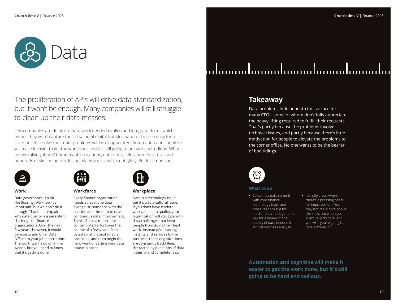

The proliferation of APIs will drive data standardization, but it won't be enough. Many companies will still struggle to clean up their data messes.

Few companies are doing the hard work needed to align and integrate data—which means they won't capture the full value of digital transformation. Those hoping for a silver bullet to solve their data problems will be disappointed. Automation and cognitive will make it easier to get the work done, but it's still going to be hard and tedious. What are we talking about? Commas, abbreviations, data-entry fields, nomenclature, and hundreds of similar factors. It's not glamorous, and it's not glitzy. But it is important.



#### **Work**

Data governance is a bit like flossing. We know it's important, but we don't do it enough. That helps explain why data quality is a persistent challenge for finance organizations. Over the next few years, however, it would be wise to add Chief Data Officer to your job description. The work itself is down in the weeds, but you need to know that it's getting done.



#### **Workforce**

Every finance organization needs at least one data evangelist, someone with the passion and the clout to drive continuous data improvement. Think of it as a moon shot—a concentrated effort over the course of a few years. Start by establishing sustainable protocols, and then begin the hard work of getting your data house in order.

| Ħ | ŀ |  |
|---|---|--|
|   |   |  |

#### **Workplace**

Data is a technology issue, but it's also a cultural issue. If you don't have leaders who value data quality, your organization will struggle with data challenges that keep people from doing their best work. Instead of delivering insights and services to the business, these organizations are constantly backfilling, distracted by questions of data integrity and completeness.

# <u>lahanaadamaalamaalamaadamaala</u>

### **Takeaway**

Data problems hide beneath the surface for many CFOs, some of whom don't fully appreciate the heavy lifting required to fulfill their requests. That's partly because the problems involve technical issues, and partly because there's little motivation for people to elevate the problems to the corner office. No one wants to be the bearer of bad tidings.



#### **What to do**

- **•** Convene a data summit with your finance technology team and those responsible for master data management. Ask for a review of the quality of data needed for critical business analysis.
- **•** Identify areas where there's a pressing need for improvement. You may not really care about this now, but when you eventually do care (and you will), you're going to care a whole lot.

**Automation and cognitive will make it easier to get the work done, but it's still going to be hard and tedious.**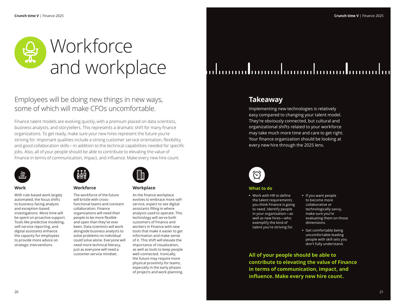

### Employees will be doing new things in new ways, some of which will make CFOs uncomfortable.

Finance talent models are evolving quickly, with a premium placed on data scientists, business analysts, and storytellers. This represents a dramatic shift for many finance organizations. To get ready, make sure your new hires represent the future you're striving for. Important qualities include a strong customer service orientation, flexibility, and good collaboration skills—in addition to the technical capabilities needed for specific jobs. Also, all of your people should be able to contribute to elevating the value of Finance in terms of communication, impact, and influence. Make every new hire count.



#### **Work**

With rule-based work largely automated, the focus shifts to business-facing analysis and exception-based investigations. More time will be spent on proactive support. Tools like predictive modeling, self-service reporting, and digital assistants enhance the capacity for employees to provide more advice on strategic interventions.



#### **Workforce**

The workforce of the future will bristle with crossfunctional teams and constant collaboration. Finance organizations will need their people to be more flexible and open than they've ever been. Data scientists will work alongside business analysts to solve problems no individual could solve alone. Everyone will need more technical literacy, just as everyone will need a customer-service mindset.

| н | я |  |
|---|---|--|
|   |   |  |

#### **Workplace**

As the finance workplace evolves to embrace more selfservice, expect to see digital assistants filling in where analysts used to operate. This technology will serve both customers of Finance and workers in Finance with new tools that make it easier to get information and make sense of it. This shift will elevate the importance of visualization, as well as tools to keep people well-connected. Ironically, the future may require more physical proximity for teams, especially in the early phases of projects and work planning.



### **Takeaway**

Implementing new technologies is relatively easy compared to changing your talent model. They're obviously connected, but cultural and organizational shifts related to your workforce may take much more time and care to get right. Your finance organization should be looking at every new hire through the 2025 lens.



#### **What to do**

- **•** Work with HR to define the talent requirements you think Finance is going to need. Identify people in your organization—as well as new hires—who exemplify the kind of talent you're striving for.
- **•** If you want people to become more collaborative or technologically savvy, make sure you're evaluating them on those dimensions.
- **•** Get comfortable being uncomfortable leading people with skill sets you don't fully understand.

**All of your people should be able to contribute to elevating the value of Finance in terms of communication, impact, and influence. Make every new hire count.**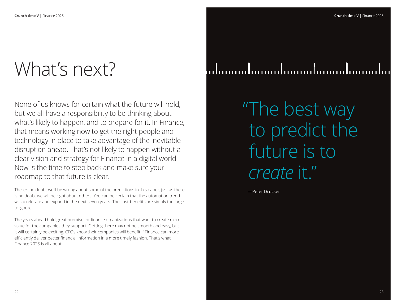# What's next?

None of us knows for certain what the future will hold, but we all have a responsibility to be thinking about what's likely to happen, and to prepare for it. In Finance, that means working now to get the right people and technology in place to take advantage of the inevitable disruption ahead. That's not likely to happen without a clear vision and strategy for Finance in a digital world. Now is the time to step back and make sure your roadmap to that future is clear.

There's no doubt we'll be wrong about some of the predictions in this paper, just as there is no doubt we will be right about others. You can be certain that the automation trend will accelerate and expand in the next seven years. The cost-benefits are simply too large to ignore.

The years ahead hold great promise for finance organizations that want to create more value for the companies they support. Getting there may not be smooth and easy, but it will certainly be exciting. CFOs know their companies will benefit if Finance can more efficiently deliver better financial information in a more timely fashion. That's what Finance 2025 is all about.

# lahanandanandanandanandananda

"The best way to predict the future is to *create* it."

—Peter Drucker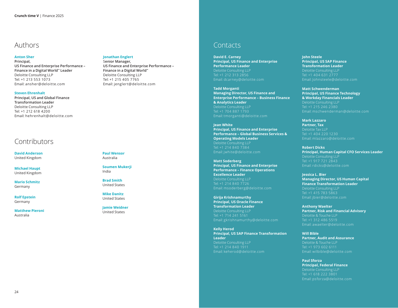### Authors

#### **Anton Sher**

**Principal, US Finance and Enterprise Performance – Finance in a Digital World™ Leader** Deloitte Consulting LLP Tel: +1 213 553 1073 Email: ansher@deloitte.com

#### **Steven Ehrenhalt**

**Principal, US and Global Finance Transformation Leader** Deloitte Consulting LLP Tel: +1 212 618 4200 Email: hehrenhalt@deloitte.com

### **Contributors**

**David Anderson** United Kingdom

**Michael Haupt** United Kingdom

**Mario Schmitz** Germany

**Rolf Epstein** Germany

**Matthew Pieroni** Australia

#### **Jonathan Englert**  S**enior Manager,**

**US Finance and Enterprise Performance – Finance in a Digital World™** Deloitte Consulting LLP Tel: +1 215 405 7765 Email: jenglert@deloitte.com

**Paul Wensor** Australia

**Soumen Mukerji** India

**Brad Smith** United States

**Mike Danitz** United States

**Jamie Weidner**  United States

### **Contacts**

**David E. Carney Principal, US Finance and Enterprise Performance Leader** Deloitte Consulting LLP Tel: +1 212 313 2856 Email: dcarney@deloitte.com

**Tadd Morganti Managing Director, US Finance and Enterprise Performance – Business Finance & Analytics Leader** Deloitte Consulting LLP Tel: +1 704 887 1793 Email: tmorganti@deloitte.com

**Jean White Principal, US Finance and Enterprise Performance – Global Business Services & Operating Models Leader**  Deloitte Consulting LLP Tel: +1 214 840 7384 Email: jwhite@deloitte.com

**Matt Soderberg Principal, US Finance and Enterprise Performance – Finance Operations Excellence Leader** Deloitte Consulting LLP Tel: +1 214 840 7726 Email: msoderberg@deloitte.com

**Girija Krishnamurthy Principal, US Oracle Finance Transformation Leader**  Deloitte Consulting LLP Tel: +1 714 241 5161 Email: gkrishnamurthy@deloitte.com

**Kelly Herod Principal, US SAP Finance Transformation Leader** Deloitte Consulting LLP Tel: +1 214 840 1911 Email: keherod@deloitte.com

**John Steele Principal, US SAP Finance Transformation Leader** Deloitte Consulting LLP Email: Johnsteele@deloitte.com

**Matt Schwenderman Principal, US Finance Technology & Workday Financials Leader**  Deloitte Consulting LLP Tel: +1 215 246 2380 Email: mschwenderman@deloitte.com

**Mark Lazzaro Partner, Tax**  Deloitte Tax LLP Tel: +1 404 220 1230 Email: mlazzaro@deloitte.com

**Robert Dicks Principal, Human Capital CFO Services Leader**  Deloitte Consulting LLP Tel: +1 917 721 2843 Email: rdicks@deloitte.com

**Jessica L. Bier Managing Director, US Human Capital Finance Transformation Leader**  Deloitte Consulting LLP Tel: +1 415 783 5863 Email: jbier@deloitte.com

**Anthony Waelter Partner, Risk and Financial Advisory** Deloitte & Touche LLP Tel: +1 312 486 5519 Email: awaelter@deloitte.com

**Will Bible Partner, Audit and Assurance** Deloitte & Touche LLP Tel: +1 973 602 6111 Email: wilbible@deloitte.com

**Paul Sforza Principal, Federal Finance** Deloitte Consulting LLP Tel: +1 618 222 3801 Email: psforza@deloitte.com